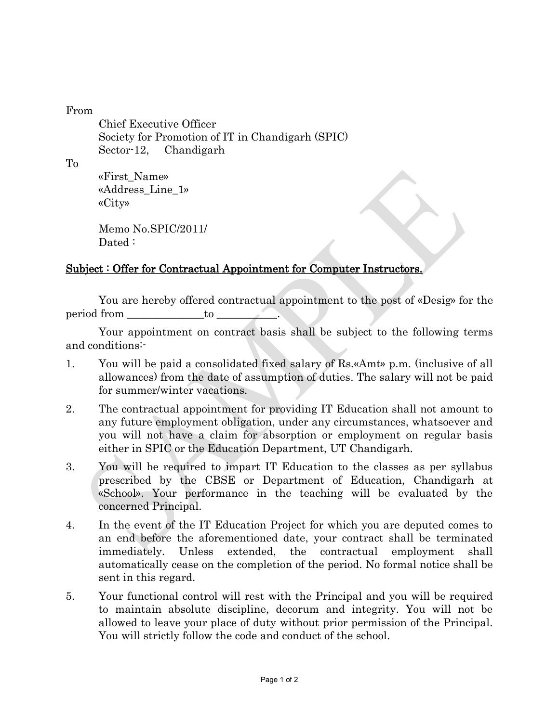### From

Chief Executive Officer Society for Promotion of IT in Chandigarh (SPIC) Sector-12, Chandigarh

To

«First\_Name» «Address\_Line\_1» «City»

Memo No.SPIC/2011/ Dated:

# Subject : Offer for Contractual Appointment for Computer Instructors.

You are hereby offered contractual appointment to the post of «Desig» for the period from to

Your appointment on contract basis shall be subject to the following terms and conditions:-

- 1. You will be paid a consolidated fixed salary of Rs.«Amt» p.m. (inclusive of all allowances) from the date of assumption of duties. The salary will not be paid for summer/winter vacations.
- 2. The contractual appointment for providing IT Education shall not amount to any future employment obligation, under any circumstances, whatsoever and you will not have a claim for absorption or employment on regular basis either in SPIC or the Education Department, UT Chandigarh.
- 3. You will be required to impart IT Education to the classes as per syllabus prescribed by the CBSE or Department of Education, Chandigarh at «School». Your performance in the teaching will be evaluated by the concerned Principal.
- 4. In the event of the IT Education Project for which you are deputed comes to an end before the aforementioned date, your contract shall be terminated immediately. Unless extended, the contractual employment shall automatically cease on the completion of the period. No formal notice shall be sent in this regard.
- 5. Your functional control will rest with the Principal and you will be required to maintain absolute discipline, decorum and integrity. You will not be allowed to leave your place of duty without prior permission of the Principal. You will strictly follow the code and conduct of the school.